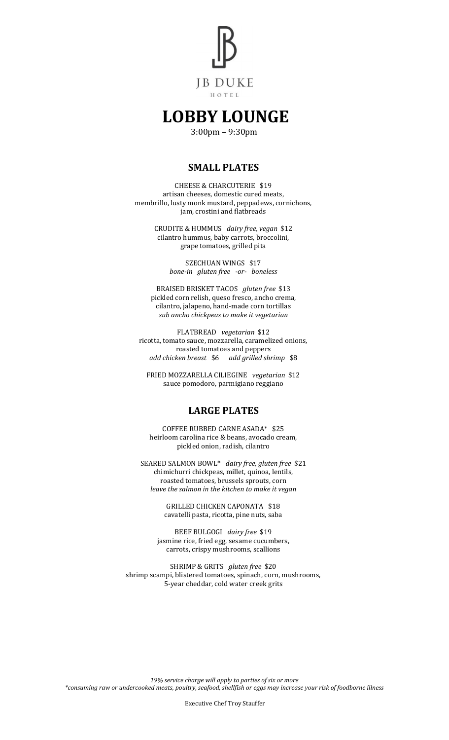

# **LOBBY LOUNGE**

3:00pm – 9:30pm

### **SMALL PLATES**

CHEESE & CHARCUTERIE \$19 artisan cheeses, domestic cured meats, membrillo, lusty monk mustard, peppadews, cornichons, jam, crostini and flatbreads

> CRUDITE & HUMMUS *dairy free, vegan* \$12 cilantro hummus, baby carrots, broccolini, grape tomatoes, grilled pita

> > SZECHUAN WINGS \$17 *bone-in gluten free -or- boneless*

BRAISED BRISKET TACOS *gluten free* \$13 pickled corn relish, queso fresco, ancho crema, cilantro, jalapeno, hand-made corn tortillas *sub ancho chickpeas to make it vegetarian*

FLATBREAD *vegetarian* \$12 ricotta, tomato sauce, mozzarella, caramelized onions, roasted tomatoes and peppers *add chicken breast* \$6 *add grilled shrimp* \$8

FRIED MOZZARELLA CILIEGINE *vegetarian* \$12 sauce pomodoro, parmigiano reggiano

### **LARGE PLATES**

COFFEE RUBBED CARNE ASADA\* \$25 heirloom carolina rice & beans, avocado cream, pickled onion, radish, cilantro

SEARED SALMON BOWL\* *dairy free, gluten free* \$21 chimichurri chickpeas, millet, quinoa, lentils, roasted tomatoes, brussels sprouts, corn *leave the salmon in the kitchen to make it vegan*

> GRILLED CHICKEN CAPONATA \$18 cavatelli pasta, ricotta, pine nuts, saba

BEEF BULGOGI *dairy free* \$19 jasmine rice, fried egg, sesame cucumbers, carrots, crispy mushrooms, scallions

SHRIMP & GRITS *gluten free* \$20 shrimp scampi, blistered tomatoes, spinach, corn, mushrooms, 5-year cheddar, cold water creek grits